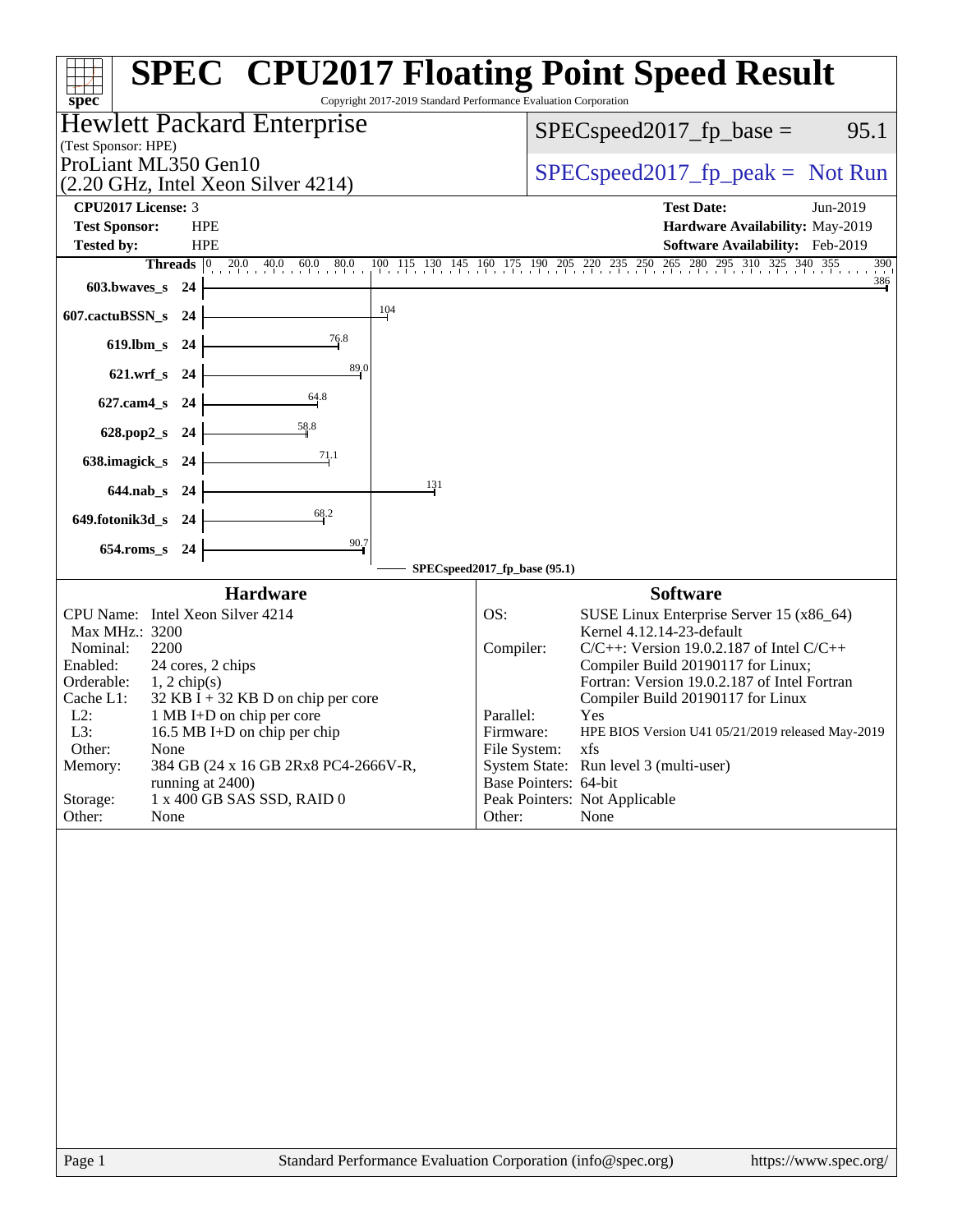| spec <sup>®</sup><br>Hewlett Packard Enterprise                                                                                                                                                                                                                                                                                                                                                                                 | Copyright 2017-2019 Standard Performance Evaluation Corporation                                                                                                                                                                                                                                                                                                                                                                                                                                          |
|---------------------------------------------------------------------------------------------------------------------------------------------------------------------------------------------------------------------------------------------------------------------------------------------------------------------------------------------------------------------------------------------------------------------------------|----------------------------------------------------------------------------------------------------------------------------------------------------------------------------------------------------------------------------------------------------------------------------------------------------------------------------------------------------------------------------------------------------------------------------------------------------------------------------------------------------------|
| (Test Sponsor: HPE)                                                                                                                                                                                                                                                                                                                                                                                                             | $SPEC speed2017_fp\_base =$<br>95.1                                                                                                                                                                                                                                                                                                                                                                                                                                                                      |
| ProLiant ML350 Gen10<br>(2.20 GHz, Intel Xeon Silver 4214)                                                                                                                                                                                                                                                                                                                                                                      | $SPEC speed2017rfp peak = Not Run$                                                                                                                                                                                                                                                                                                                                                                                                                                                                       |
| CPU2017 License: 3<br><b>Test Sponsor:</b><br><b>HPE</b>                                                                                                                                                                                                                                                                                                                                                                        | <b>Test Date:</b><br>Jun-2019<br>Hardware Availability: May-2019                                                                                                                                                                                                                                                                                                                                                                                                                                         |
| <b>Tested by:</b><br><b>HPE</b><br><b>Threads</b> $\boxed{0}$ 20.0<br>$40.0$ 60.0<br>80.0                                                                                                                                                                                                                                                                                                                                       | Software Availability: Feb-2019<br>100 115 130 145 160 175 190 205 220 235 250 265 280 295 310 325 340 355<br>390                                                                                                                                                                                                                                                                                                                                                                                        |
| 603.bwaves_s<br>- 24                                                                                                                                                                                                                                                                                                                                                                                                            | $\frac{386}{1}$                                                                                                                                                                                                                                                                                                                                                                                                                                                                                          |
| 104<br>607.cactuBSSN_s<br>- 24                                                                                                                                                                                                                                                                                                                                                                                                  |                                                                                                                                                                                                                                                                                                                                                                                                                                                                                                          |
| 76.8<br>$619.$ lbm_s<br>- 24                                                                                                                                                                                                                                                                                                                                                                                                    |                                                                                                                                                                                                                                                                                                                                                                                                                                                                                                          |
| 89.0<br>621.wrf_s 24                                                                                                                                                                                                                                                                                                                                                                                                            |                                                                                                                                                                                                                                                                                                                                                                                                                                                                                                          |
| 64.8<br>627.cam4_s<br>- 24                                                                                                                                                                                                                                                                                                                                                                                                      |                                                                                                                                                                                                                                                                                                                                                                                                                                                                                                          |
| 58.8<br>628.pop2_s<br>- 24                                                                                                                                                                                                                                                                                                                                                                                                      |                                                                                                                                                                                                                                                                                                                                                                                                                                                                                                          |
| 71.1<br>638.imagick_s<br>- 24                                                                                                                                                                                                                                                                                                                                                                                                   |                                                                                                                                                                                                                                                                                                                                                                                                                                                                                                          |
| 131<br>644.nab_s 24                                                                                                                                                                                                                                                                                                                                                                                                             |                                                                                                                                                                                                                                                                                                                                                                                                                                                                                                          |
| 68.2<br>649.fotonik3d_s 24                                                                                                                                                                                                                                                                                                                                                                                                      |                                                                                                                                                                                                                                                                                                                                                                                                                                                                                                          |
| 90.7<br>$654$ .roms_s<br>- 24                                                                                                                                                                                                                                                                                                                                                                                                   | SPECspeed2017_fp_base (95.1)                                                                                                                                                                                                                                                                                                                                                                                                                                                                             |
| <b>Hardware</b>                                                                                                                                                                                                                                                                                                                                                                                                                 | <b>Software</b>                                                                                                                                                                                                                                                                                                                                                                                                                                                                                          |
| CPU Name: Intel Xeon Silver 4214<br>Max MHz.: 3200<br>2200<br>Nominal:<br>24 cores, 2 chips<br>Enabled:<br>Orderable:<br>$1, 2$ chip(s)<br>$32$ KB I + 32 KB D on chip per core<br>Cache L1:<br>$L2$ :<br>1 MB I+D on chip per core<br>L3:<br>16.5 MB I+D on chip per chip<br>Other:<br>None<br>Memory:<br>384 GB (24 x 16 GB 2Rx8 PC4-2666V-R,<br>running at 2400)<br>1 x 400 GB SAS SSD, RAID 0<br>Storage:<br>Other:<br>None | OS:<br>SUSE Linux Enterprise Server 15 (x86_64)<br>Kernel 4.12.14-23-default<br>Compiler:<br>$C/C++$ : Version 19.0.2.187 of Intel $C/C++$<br>Compiler Build 20190117 for Linux;<br>Fortran: Version 19.0.2.187 of Intel Fortran<br>Compiler Build 20190117 for Linux<br>Parallel:<br>Yes<br>Firmware:<br>HPE BIOS Version U41 05/21/2019 released May-2019<br>File System:<br>xfs<br>System State: Run level 3 (multi-user)<br>Base Pointers: 64-bit<br>Peak Pointers: Not Applicable<br>None<br>Other: |
|                                                                                                                                                                                                                                                                                                                                                                                                                                 |                                                                                                                                                                                                                                                                                                                                                                                                                                                                                                          |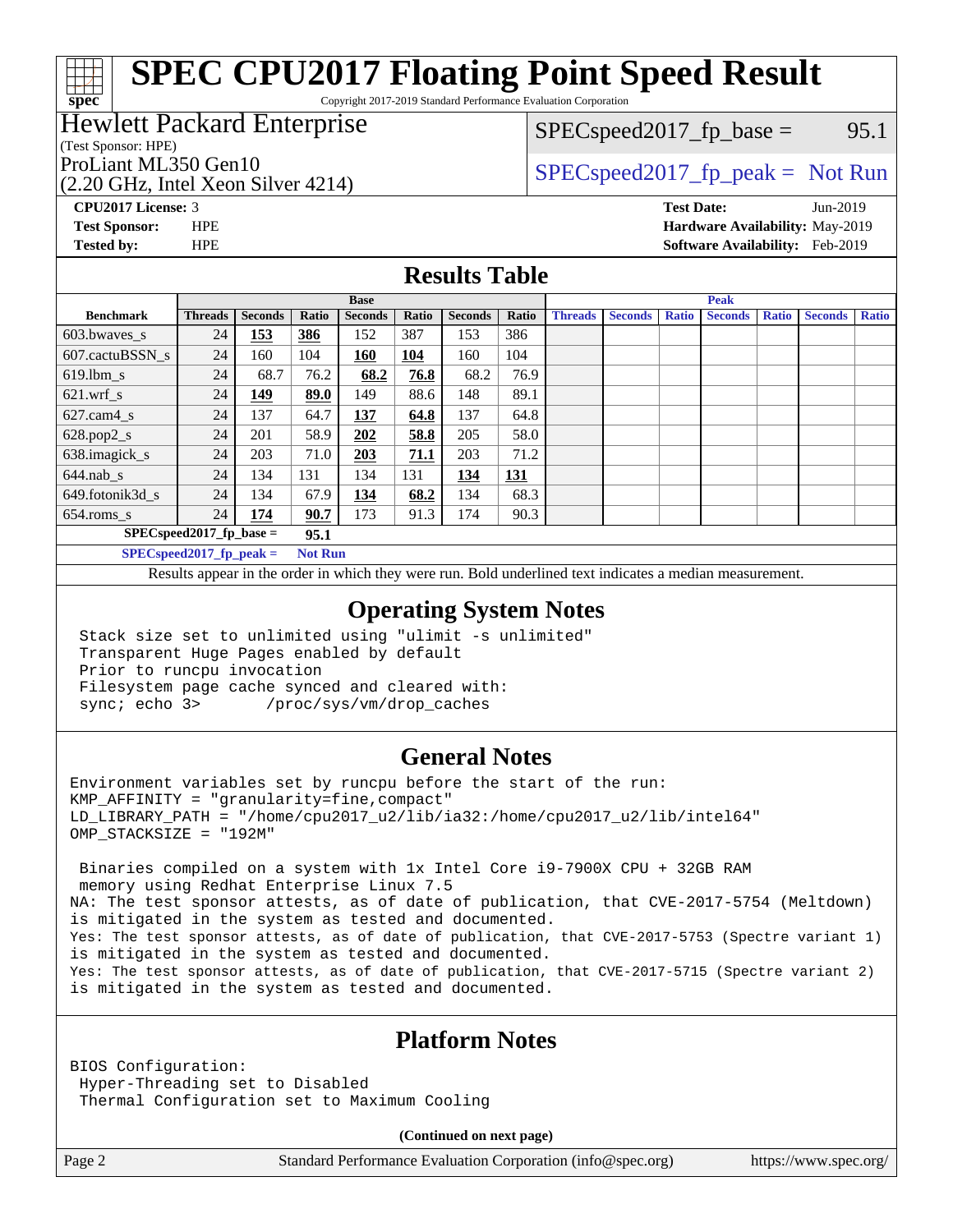Copyright 2017-2019 Standard Performance Evaluation Corporation

### Hewlett Packard Enterprise

(Test Sponsor: HPE)

**[spec](http://www.spec.org/)**

ProLiant ML350 Gen10  $SPEC speed2017_f$   $peak = Not Run$ 

 $SPEC speed2017_fp\_base =$  95.1

(2.20 GHz, Intel Xeon Silver 4214)

**[CPU2017 License:](http://www.spec.org/auto/cpu2017/Docs/result-fields.html#CPU2017License)** 3 **[Test Date:](http://www.spec.org/auto/cpu2017/Docs/result-fields.html#TestDate)** Jun-2019 **[Test Sponsor:](http://www.spec.org/auto/cpu2017/Docs/result-fields.html#TestSponsor)** HPE **[Hardware Availability:](http://www.spec.org/auto/cpu2017/Docs/result-fields.html#HardwareAvailability)** May-2019 **[Tested by:](http://www.spec.org/auto/cpu2017/Docs/result-fields.html#Testedby)** HPE **[Software Availability:](http://www.spec.org/auto/cpu2017/Docs/result-fields.html#SoftwareAvailability)** Feb-2019

#### **[Results Table](http://www.spec.org/auto/cpu2017/Docs/result-fields.html#ResultsTable)**

|                            | <b>Base</b>                |                |                |                |            | <b>Peak</b>    |       |                |                |              |                |              |                |              |
|----------------------------|----------------------------|----------------|----------------|----------------|------------|----------------|-------|----------------|----------------|--------------|----------------|--------------|----------------|--------------|
| <b>Benchmark</b>           | <b>Threads</b>             | <b>Seconds</b> | Ratio          | <b>Seconds</b> | Ratio      | <b>Seconds</b> | Ratio | <b>Threads</b> | <b>Seconds</b> | <b>Ratio</b> | <b>Seconds</b> | <b>Ratio</b> | <b>Seconds</b> | <b>Ratio</b> |
| 603.bwayes_s               | 24                         | <u>153</u>     | 386            | 152            | 387        | 153            | 386   |                |                |              |                |              |                |              |
| 607.cactuBSSN s            | 24                         | 160            | 104            | <b>160</b>     | <b>104</b> | 160            | 104   |                |                |              |                |              |                |              |
| $619.$ lbm_s               | 24                         | 68.7           | 76.2           | 68.2           | 76.8       | 68.2           | 76.9  |                |                |              |                |              |                |              |
| $621.wrf$ s                | 24                         | 149            | 89.0           | 149            | 88.6       | 148            | 89.1  |                |                |              |                |              |                |              |
| $627.cam4_s$               | 24                         | 137            | 64.7           | 137            | 64.8       | 137            | 64.8  |                |                |              |                |              |                |              |
| $628.pop2_s$               | 24                         | 201            | 58.9           | 202            | 58.8       | 205            | 58.0  |                |                |              |                |              |                |              |
| 638.imagick_s              | 24                         | 203            | 71.0           | 203            | 71.1       | 203            | 71.2  |                |                |              |                |              |                |              |
| $644$ .nab s               | 24                         | 134            | 131            | 134            | 131        | 134            | 131   |                |                |              |                |              |                |              |
| 649.fotonik3d s            | 24                         | 134            | 67.9           | 134            | 68.2       | 134            | 68.3  |                |                |              |                |              |                |              |
| $654$ .roms s              | 24                         | 174            | 90.7           | 173            | 91.3       | 174            | 90.3  |                |                |              |                |              |                |              |
| $SPEC speed2017$ fp base = |                            |                |                |                |            |                |       |                |                |              |                |              |                |              |
|                            | $SPECspeed2017_fp\_peak =$ |                | <b>Not Run</b> |                |            |                |       |                |                |              |                |              |                |              |

Results appear in the [order in which they were run.](http://www.spec.org/auto/cpu2017/Docs/result-fields.html#RunOrder) Bold underlined text [indicates a median measurement](http://www.spec.org/auto/cpu2017/Docs/result-fields.html#Median).

#### **[Operating System Notes](http://www.spec.org/auto/cpu2017/Docs/result-fields.html#OperatingSystemNotes)**

 Stack size set to unlimited using "ulimit -s unlimited" Transparent Huge Pages enabled by default Prior to runcpu invocation Filesystem page cache synced and cleared with: sync; echo 3> /proc/sys/vm/drop\_caches

#### **[General Notes](http://www.spec.org/auto/cpu2017/Docs/result-fields.html#GeneralNotes)**

Environment variables set by runcpu before the start of the run:  $KMP$  AFFINITY = "granularity=fine, compact" LD\_LIBRARY\_PATH = "/home/cpu2017\_u2/lib/ia32:/home/cpu2017\_u2/lib/intel64" OMP\_STACKSIZE = "192M"

 Binaries compiled on a system with 1x Intel Core i9-7900X CPU + 32GB RAM memory using Redhat Enterprise Linux 7.5 NA: The test sponsor attests, as of date of publication, that CVE-2017-5754 (Meltdown) is mitigated in the system as tested and documented. Yes: The test sponsor attests, as of date of publication, that CVE-2017-5753 (Spectre variant 1) is mitigated in the system as tested and documented. Yes: The test sponsor attests, as of date of publication, that CVE-2017-5715 (Spectre variant 2) is mitigated in the system as tested and documented.

#### **[Platform Notes](http://www.spec.org/auto/cpu2017/Docs/result-fields.html#PlatformNotes)**

BIOS Configuration: Hyper-Threading set to Disabled Thermal Configuration set to Maximum Cooling

**(Continued on next page)**

Page 2 Standard Performance Evaluation Corporation [\(info@spec.org\)](mailto:info@spec.org) <https://www.spec.org/>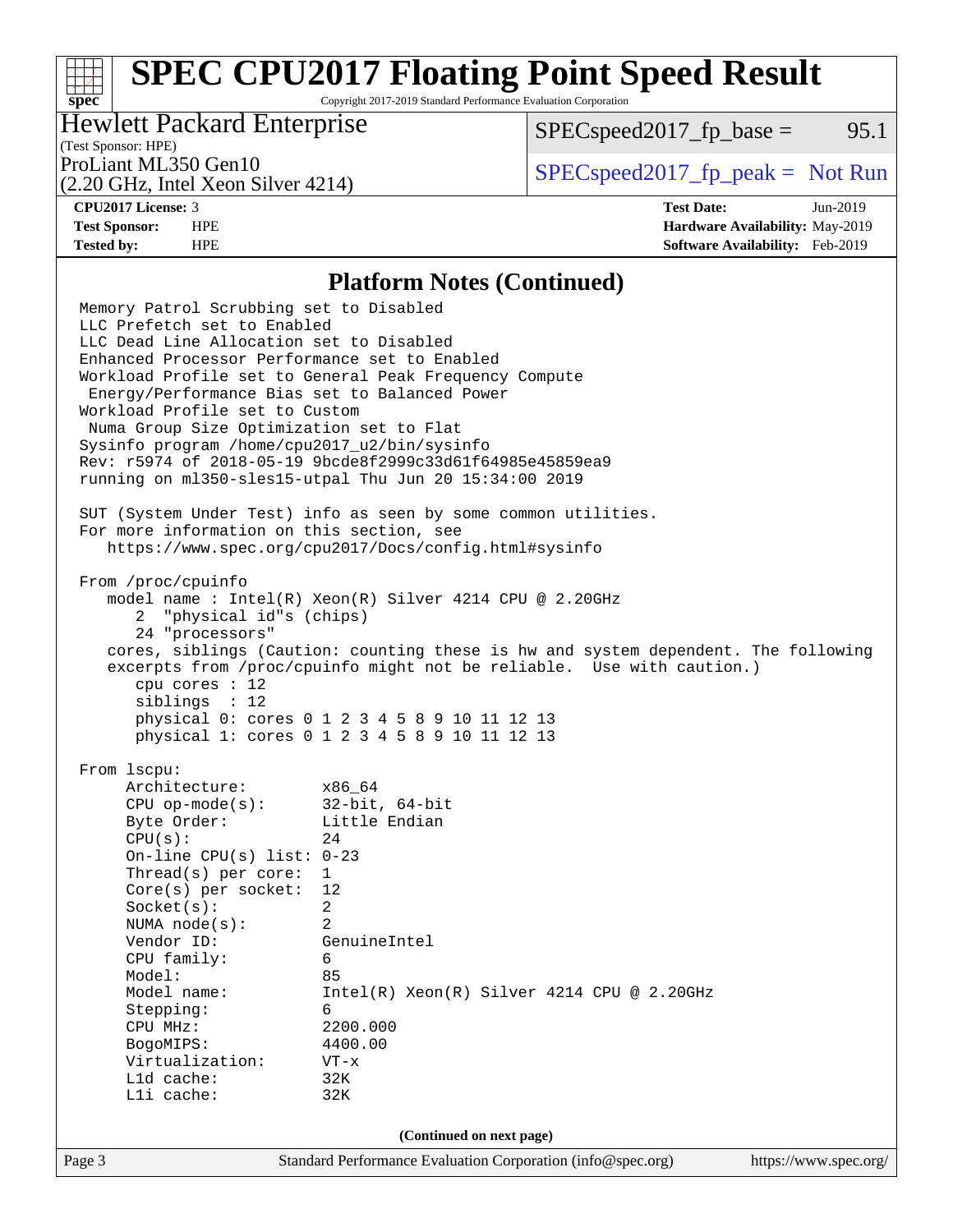Copyright 2017-2019 Standard Performance Evaluation Corporation

### Hewlett Packard Enterprise

 $SPEC speed2017_fp\_base = 95.1$ 

### (Test Sponsor: HPE)

(2.20 GHz, Intel Xeon Silver 4214)

ProLiant ML350 Gen10  $SPEC speed2017<sub>fp</sub> peak = Not Run$ 

**[spec](http://www.spec.org/)**

**[CPU2017 License:](http://www.spec.org/auto/cpu2017/Docs/result-fields.html#CPU2017License)** 3 **[Test Date:](http://www.spec.org/auto/cpu2017/Docs/result-fields.html#TestDate)** Jun-2019 **[Test Sponsor:](http://www.spec.org/auto/cpu2017/Docs/result-fields.html#TestSponsor)** HPE **[Hardware Availability:](http://www.spec.org/auto/cpu2017/Docs/result-fields.html#HardwareAvailability)** May-2019 **[Tested by:](http://www.spec.org/auto/cpu2017/Docs/result-fields.html#Testedby)** HPE **[Software Availability:](http://www.spec.org/auto/cpu2017/Docs/result-fields.html#SoftwareAvailability)** Feb-2019

#### **[Platform Notes \(Continued\)](http://www.spec.org/auto/cpu2017/Docs/result-fields.html#PlatformNotes)**

Page 3 Standard Performance Evaluation Corporation [\(info@spec.org\)](mailto:info@spec.org) <https://www.spec.org/> Memory Patrol Scrubbing set to Disabled LLC Prefetch set to Enabled LLC Dead Line Allocation set to Disabled Enhanced Processor Performance set to Enabled Workload Profile set to General Peak Frequency Compute Energy/Performance Bias set to Balanced Power Workload Profile set to Custom Numa Group Size Optimization set to Flat Sysinfo program /home/cpu2017\_u2/bin/sysinfo Rev: r5974 of 2018-05-19 9bcde8f2999c33d61f64985e45859ea9 running on ml350-sles15-utpal Thu Jun 20 15:34:00 2019 SUT (System Under Test) info as seen by some common utilities. For more information on this section, see <https://www.spec.org/cpu2017/Docs/config.html#sysinfo> From /proc/cpuinfo model name : Intel(R) Xeon(R) Silver 4214 CPU @ 2.20GHz 2 "physical id"s (chips) 24 "processors" cores, siblings (Caution: counting these is hw and system dependent. The following excerpts from /proc/cpuinfo might not be reliable. Use with caution.) cpu cores : 12 siblings : 12 physical 0: cores 0 1 2 3 4 5 8 9 10 11 12 13 physical 1: cores 0 1 2 3 4 5 8 9 10 11 12 13 From lscpu: Architecture: x86\_64 CPU op-mode(s): 32-bit, 64-bit Byte Order: Little Endian  $CPU(s):$  24 On-line CPU(s) list: 0-23 Thread(s) per core: 1 Core(s) per socket: 12 Socket(s): 2 NUMA node(s): 2 Vendor ID: GenuineIntel CPU family: 6 Model: 85 Model name: Intel(R) Xeon(R) Silver 4214 CPU @ 2.20GHz Stepping: 6 CPU MHz: 2200.000 BogoMIPS: 4400.00 Virtualization: VT-x L1d cache: 32K L1i cache: 32K **(Continued on next page)**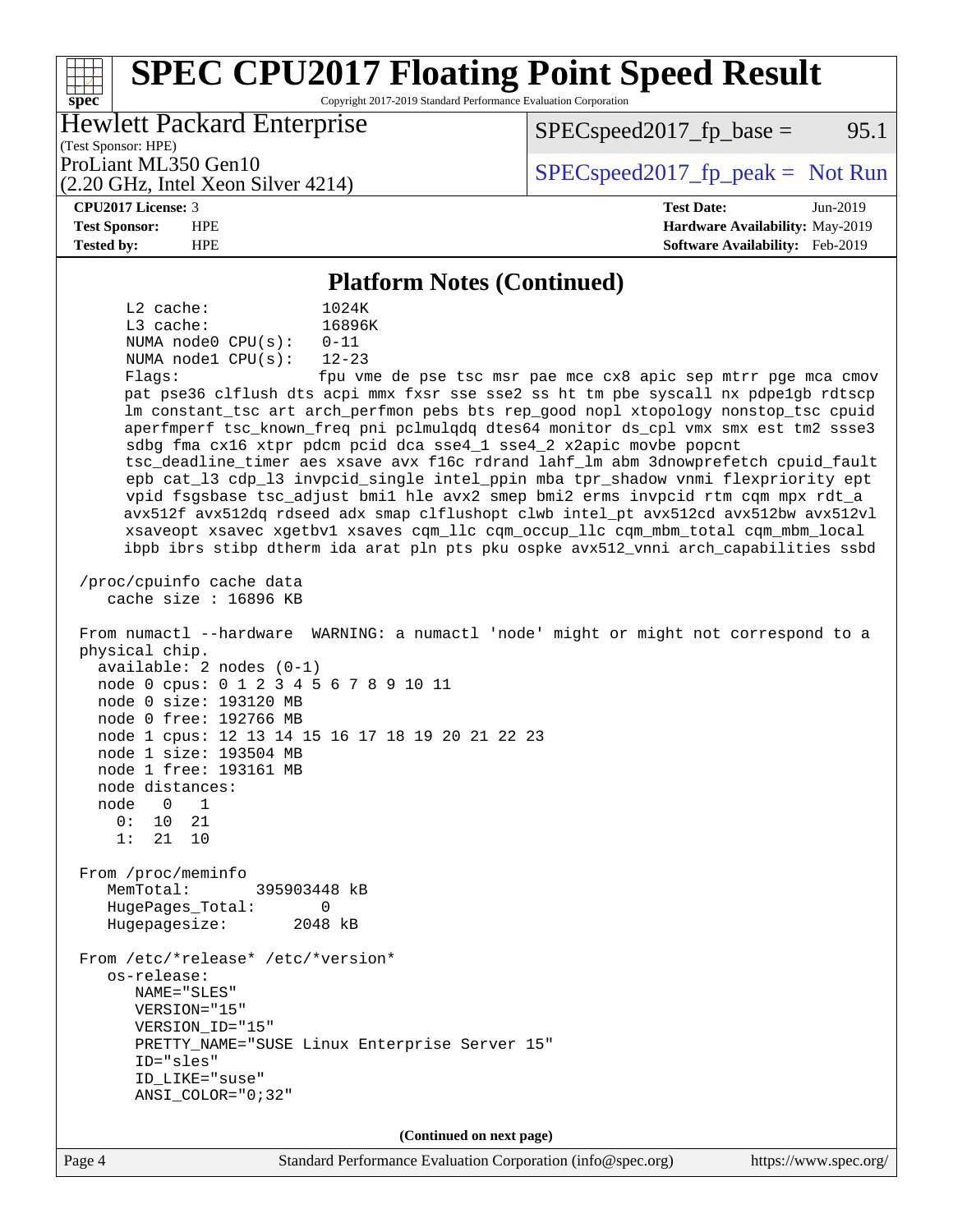#### Page 4 Standard Performance Evaluation Corporation [\(info@spec.org\)](mailto:info@spec.org) <https://www.spec.org/> **[spec](http://www.spec.org/) [SPEC CPU2017 Floating Point Speed Result](http://www.spec.org/auto/cpu2017/Docs/result-fields.html#SPECCPU2017FloatingPointSpeedResult)** Copyright 2017-2019 Standard Performance Evaluation Corporation (Test Sponsor: HPE) Hewlett Packard Enterprise (2.20 GHz, Intel Xeon Silver 4214) ProLiant ML350 Gen10  $SPEC speed2017_fp\_peak = Not Run$  $SPEC speed2017_fp\_base = 95.1$ **[CPU2017 License:](http://www.spec.org/auto/cpu2017/Docs/result-fields.html#CPU2017License)** 3 **[Test Date:](http://www.spec.org/auto/cpu2017/Docs/result-fields.html#TestDate)** Jun-2019 **[Test Sponsor:](http://www.spec.org/auto/cpu2017/Docs/result-fields.html#TestSponsor)** HPE **[Hardware Availability:](http://www.spec.org/auto/cpu2017/Docs/result-fields.html#HardwareAvailability)** May-2019 **[Tested by:](http://www.spec.org/auto/cpu2017/Docs/result-fields.html#Testedby)** HPE **[Software Availability:](http://www.spec.org/auto/cpu2017/Docs/result-fields.html#SoftwareAvailability)** Feb-2019 **[Platform Notes \(Continued\)](http://www.spec.org/auto/cpu2017/Docs/result-fields.html#PlatformNotes)** L2 cache: 1024K L3 cache: 16896K NUMA node0 CPU(s): 0-11 NUMA node1 CPU(s): 12-23 Flags: fpu vme de pse tsc msr pae mce cx8 apic sep mtrr pge mca cmov pat pse36 clflush dts acpi mmx fxsr sse sse2 ss ht tm pbe syscall nx pdpe1gb rdtscp lm constant\_tsc art arch\_perfmon pebs bts rep\_good nopl xtopology nonstop\_tsc cpuid aperfmperf tsc\_known\_freq pni pclmulqdq dtes64 monitor ds\_cpl vmx smx est tm2 ssse3 sdbg fma cx16 xtpr pdcm pcid dca sse4\_1 sse4\_2 x2apic movbe popcnt tsc\_deadline\_timer aes xsave avx f16c rdrand lahf\_lm abm 3dnowprefetch cpuid\_fault epb cat\_l3 cdp\_l3 invpcid\_single intel\_ppin mba tpr\_shadow vnmi flexpriority ept vpid fsgsbase tsc\_adjust bmi1 hle avx2 smep bmi2 erms invpcid rtm cqm mpx rdt\_a avx512f avx512dq rdseed adx smap clflushopt clwb intel\_pt avx512cd avx512bw avx512vl xsaveopt xsavec xgetbv1 xsaves cqm\_llc cqm\_occup\_llc cqm\_mbm\_total cqm\_mbm\_local ibpb ibrs stibp dtherm ida arat pln pts pku ospke avx512\_vnni arch\_capabilities ssbd /proc/cpuinfo cache data cache size : 16896 KB From numactl --hardware WARNING: a numactl 'node' might or might not correspond to a physical chip. available: 2 nodes (0-1) node 0 cpus: 0 1 2 3 4 5 6 7 8 9 10 11 node 0 size: 193120 MB node 0 free: 192766 MB node 1 cpus: 12 13 14 15 16 17 18 19 20 21 22 23 node 1 size: 193504 MB node 1 free: 193161 MB node distances: node 0 1 0: 10 21 1: 21 10 From /proc/meminfo MemTotal: 395903448 kB HugePages\_Total: 0 Hugepagesize: 2048 kB From /etc/\*release\* /etc/\*version\* os-release: NAME="SLES" VERSION="15" VERSION\_ID="15" PRETTY\_NAME="SUSE Linux Enterprise Server 15" ID="sles" ID\_LIKE="suse" ANSI\_COLOR="0;32" **(Continued on next page)**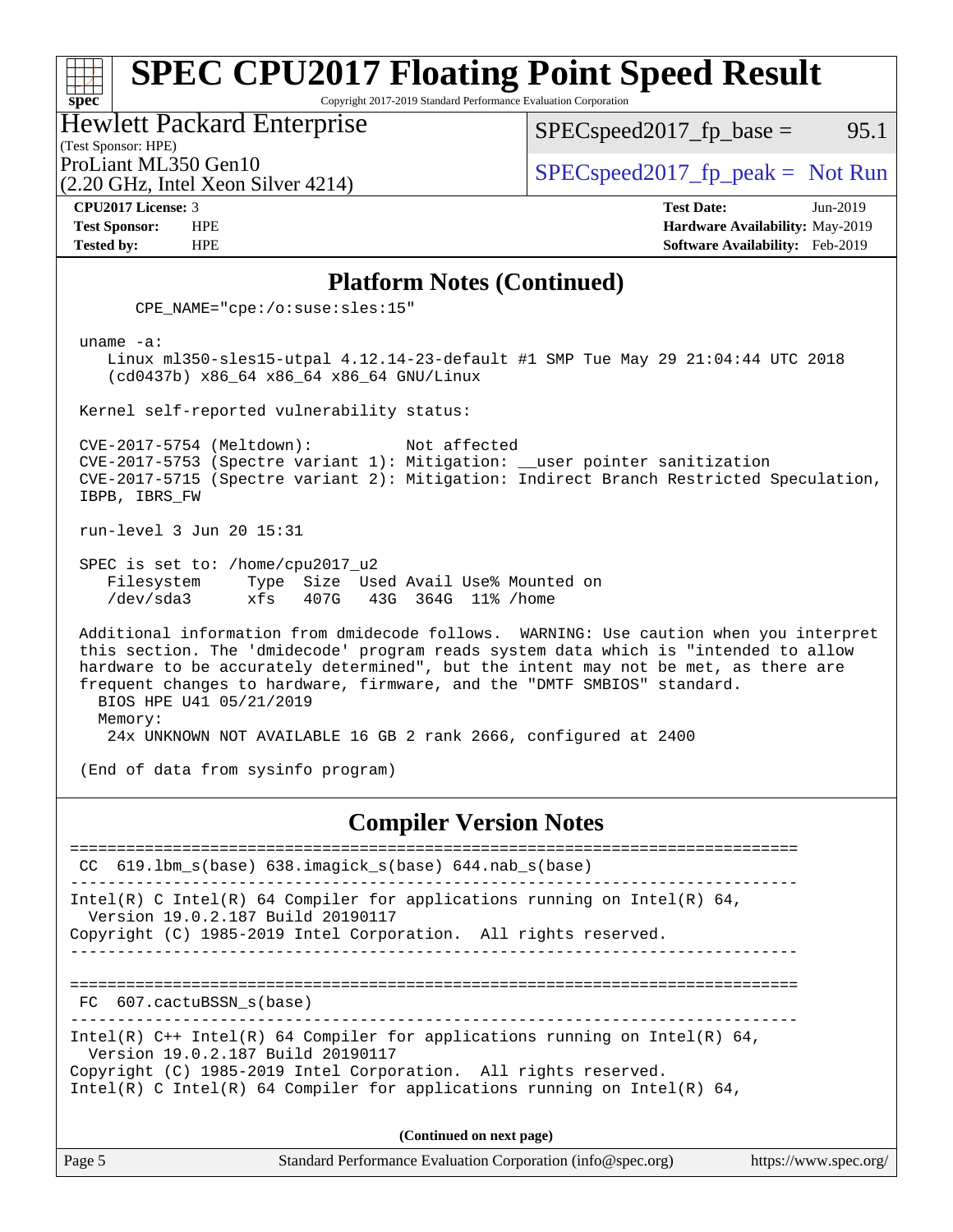Copyright 2017-2019 Standard Performance Evaluation Corporation

Hewlett Packard Enterprise

(2.20 GHz, Intel Xeon Silver 4214)

 $SPEC speed2017_fp\_base =$  95.1

(Test Sponsor: HPE)

ProLiant ML350 Gen10  $SPEC speed2017_f$   $peak = Not Run$ 

**[spec](http://www.spec.org/)**

**[CPU2017 License:](http://www.spec.org/auto/cpu2017/Docs/result-fields.html#CPU2017License)** 3 **[Test Date:](http://www.spec.org/auto/cpu2017/Docs/result-fields.html#TestDate)** Jun-2019 **[Test Sponsor:](http://www.spec.org/auto/cpu2017/Docs/result-fields.html#TestSponsor)** HPE **[Hardware Availability:](http://www.spec.org/auto/cpu2017/Docs/result-fields.html#HardwareAvailability)** May-2019 **[Tested by:](http://www.spec.org/auto/cpu2017/Docs/result-fields.html#Testedby)** HPE **[Software Availability:](http://www.spec.org/auto/cpu2017/Docs/result-fields.html#SoftwareAvailability)** Feb-2019

#### **[Platform Notes \(Continued\)](http://www.spec.org/auto/cpu2017/Docs/result-fields.html#PlatformNotes)**

CPE\_NAME="cpe:/o:suse:sles:15"

uname -a:

 Linux ml350-sles15-utpal 4.12.14-23-default #1 SMP Tue May 29 21:04:44 UTC 2018 (cd0437b) x86\_64 x86\_64 x86\_64 GNU/Linux

Kernel self-reported vulnerability status:

 CVE-2017-5754 (Meltdown): Not affected CVE-2017-5753 (Spectre variant 1): Mitigation: \_\_user pointer sanitization CVE-2017-5715 (Spectre variant 2): Mitigation: Indirect Branch Restricted Speculation, IBPB, IBRS\_FW

run-level 3 Jun 20 15:31

 SPEC is set to: /home/cpu2017\_u2 Filesystem Type Size Used Avail Use% Mounted on /dev/sda3 xfs 407G 43G 364G 11% /home

 Additional information from dmidecode follows. WARNING: Use caution when you interpret this section. The 'dmidecode' program reads system data which is "intended to allow hardware to be accurately determined", but the intent may not be met, as there are frequent changes to hardware, firmware, and the "DMTF SMBIOS" standard. BIOS HPE U41 05/21/2019 Memory:

24x UNKNOWN NOT AVAILABLE 16 GB 2 rank 2666, configured at 2400

(End of data from sysinfo program)

#### **[Compiler Version Notes](http://www.spec.org/auto/cpu2017/Docs/result-fields.html#CompilerVersionNotes)**

============================================================================== CC 619.lbm\_s(base) 638.imagick\_s(base) 644.nab\_s(base) ------------------------------------------------------------------------------ Intel(R) C Intel(R) 64 Compiler for applications running on Intel(R) 64, Version 19.0.2.187 Build 20190117 Copyright (C) 1985-2019 Intel Corporation. All rights reserved. ------------------------------------------------------------------------------ ============================================================================== FC 607.cactuBSSN\_s(base) ------------------------------------------------------------------------------ Intel(R)  $C++$  Intel(R) 64 Compiler for applications running on Intel(R) 64, Version 19.0.2.187 Build 20190117 Copyright (C) 1985-2019 Intel Corporation. All rights reserved. Intel(R) C Intel(R) 64 Compiler for applications running on Intel(R)  $64$ , **(Continued on next page)**

Page 5 Standard Performance Evaluation Corporation [\(info@spec.org\)](mailto:info@spec.org) <https://www.spec.org/>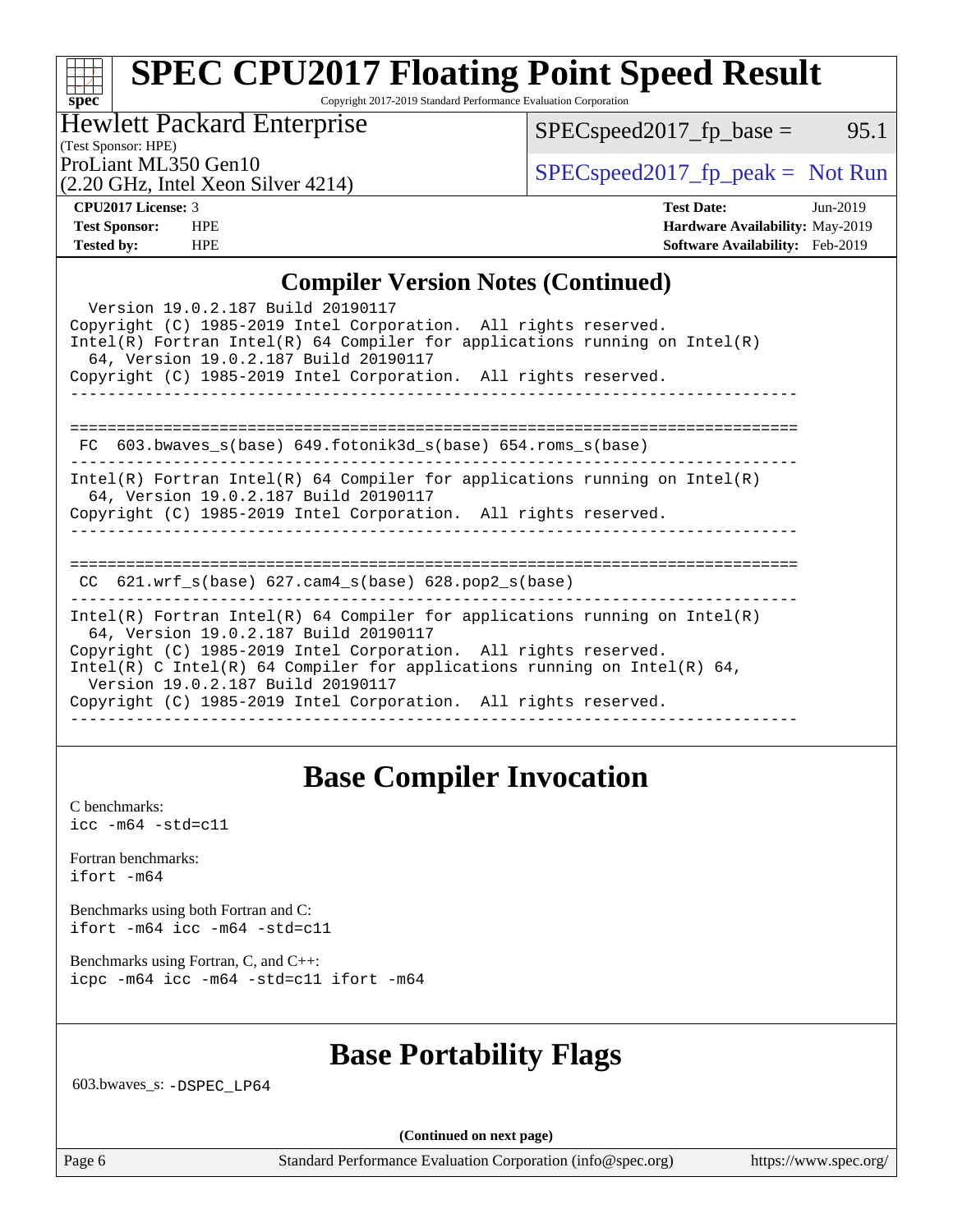Copyright 2017-2019 Standard Performance Evaluation Corporation

### Hewlett Packard Enterprise

 $SPEC speed2017_fp\_base =$  95.1

(Test Sponsor: HPE)

(2.20 GHz, Intel Xeon Silver 4214)

ProLiant ML350 Gen10  $SPEC speed2017$  [p\_peak = Not Run

| <b>CPU2017 License: 3</b> |
|---------------------------|
|---------------------------|

**[spec](http://www.spec.org/)**

**[CPU2017 License:](http://www.spec.org/auto/cpu2017/Docs/result-fields.html#CPU2017License)** 3 **[Test Date:](http://www.spec.org/auto/cpu2017/Docs/result-fields.html#TestDate)** Jun-2019 **[Test Sponsor:](http://www.spec.org/auto/cpu2017/Docs/result-fields.html#TestSponsor)** HPE **[Hardware Availability:](http://www.spec.org/auto/cpu2017/Docs/result-fields.html#HardwareAvailability)** May-2019 **[Tested by:](http://www.spec.org/auto/cpu2017/Docs/result-fields.html#Testedby)** HPE **[Software Availability:](http://www.spec.org/auto/cpu2017/Docs/result-fields.html#SoftwareAvailability)** Feb-2019

### **[Compiler Version Notes \(Continued\)](http://www.spec.org/auto/cpu2017/Docs/result-fields.html#CompilerVersionNotes)**

| Version 19.0.2.187 Build 20190117<br>Copyright (C) 1985-2019 Intel Corporation. All rights reserved.<br>Intel(R) Fortran Intel(R) 64 Compiler for applications running on Intel(R)<br>64, Version 19.0.2.187 Build 20190117                                                                                                                                                  |
|------------------------------------------------------------------------------------------------------------------------------------------------------------------------------------------------------------------------------------------------------------------------------------------------------------------------------------------------------------------------------|
| Copyright (C) 1985-2019 Intel Corporation. All rights reserved.                                                                                                                                                                                                                                                                                                              |
| 603.bwaves_s(base) 649.fotonik3d_s(base) 654.roms_s(base)<br>FC                                                                                                                                                                                                                                                                                                              |
| Intel(R) Fortran Intel(R) 64 Compiler for applications running on Intel(R)<br>64, Version 19.0.2.187 Build 20190117<br>Copyright (C) 1985-2019 Intel Corporation. All rights reserved.                                                                                                                                                                                       |
| $CC$ 621.wrf_s(base) 627.cam4_s(base) 628.pop2_s(base)                                                                                                                                                                                                                                                                                                                       |
| $Intel(R)$ Fortran Intel(R) 64 Compiler for applications running on Intel(R)<br>64, Version 19.0.2.187 Build 20190117<br>Copyright (C) 1985-2019 Intel Corporation. All rights reserved.<br>Intel(R) C Intel(R) 64 Compiler for applications running on Intel(R) 64,<br>Version 19.0.2.187 Build 20190117<br>Copyright (C) 1985-2019 Intel Corporation. All rights reserved. |

### **[Base Compiler Invocation](http://www.spec.org/auto/cpu2017/Docs/result-fields.html#BaseCompilerInvocation)**

[C benchmarks](http://www.spec.org/auto/cpu2017/Docs/result-fields.html#Cbenchmarks): [icc -m64 -std=c11](http://www.spec.org/cpu2017/results/res2019q3/cpu2017-20190624-15531.flags.html#user_CCbase_intel_icc_64bit_c11_33ee0cdaae7deeeab2a9725423ba97205ce30f63b9926c2519791662299b76a0318f32ddfffdc46587804de3178b4f9328c46fa7c2b0cd779d7a61945c91cd35)

[Fortran benchmarks](http://www.spec.org/auto/cpu2017/Docs/result-fields.html#Fortranbenchmarks): [ifort -m64](http://www.spec.org/cpu2017/results/res2019q3/cpu2017-20190624-15531.flags.html#user_FCbase_intel_ifort_64bit_24f2bb282fbaeffd6157abe4f878425411749daecae9a33200eee2bee2fe76f3b89351d69a8130dd5949958ce389cf37ff59a95e7a40d588e8d3a57e0c3fd751)

[Benchmarks using both Fortran and C](http://www.spec.org/auto/cpu2017/Docs/result-fields.html#BenchmarksusingbothFortranandC): [ifort -m64](http://www.spec.org/cpu2017/results/res2019q3/cpu2017-20190624-15531.flags.html#user_CC_FCbase_intel_ifort_64bit_24f2bb282fbaeffd6157abe4f878425411749daecae9a33200eee2bee2fe76f3b89351d69a8130dd5949958ce389cf37ff59a95e7a40d588e8d3a57e0c3fd751) [icc -m64 -std=c11](http://www.spec.org/cpu2017/results/res2019q3/cpu2017-20190624-15531.flags.html#user_CC_FCbase_intel_icc_64bit_c11_33ee0cdaae7deeeab2a9725423ba97205ce30f63b9926c2519791662299b76a0318f32ddfffdc46587804de3178b4f9328c46fa7c2b0cd779d7a61945c91cd35)

[Benchmarks using Fortran, C, and C++:](http://www.spec.org/auto/cpu2017/Docs/result-fields.html#BenchmarksusingFortranCandCXX) [icpc -m64](http://www.spec.org/cpu2017/results/res2019q3/cpu2017-20190624-15531.flags.html#user_CC_CXX_FCbase_intel_icpc_64bit_4ecb2543ae3f1412ef961e0650ca070fec7b7afdcd6ed48761b84423119d1bf6bdf5cad15b44d48e7256388bc77273b966e5eb805aefd121eb22e9299b2ec9d9) [icc -m64 -std=c11](http://www.spec.org/cpu2017/results/res2019q3/cpu2017-20190624-15531.flags.html#user_CC_CXX_FCbase_intel_icc_64bit_c11_33ee0cdaae7deeeab2a9725423ba97205ce30f63b9926c2519791662299b76a0318f32ddfffdc46587804de3178b4f9328c46fa7c2b0cd779d7a61945c91cd35) [ifort -m64](http://www.spec.org/cpu2017/results/res2019q3/cpu2017-20190624-15531.flags.html#user_CC_CXX_FCbase_intel_ifort_64bit_24f2bb282fbaeffd6157abe4f878425411749daecae9a33200eee2bee2fe76f3b89351d69a8130dd5949958ce389cf37ff59a95e7a40d588e8d3a57e0c3fd751)

### **[Base Portability Flags](http://www.spec.org/auto/cpu2017/Docs/result-fields.html#BasePortabilityFlags)**

603.bwaves\_s: [-DSPEC\\_LP64](http://www.spec.org/cpu2017/results/res2019q3/cpu2017-20190624-15531.flags.html#suite_basePORTABILITY603_bwaves_s_DSPEC_LP64)

**(Continued on next page)**

Page 6 Standard Performance Evaluation Corporation [\(info@spec.org\)](mailto:info@spec.org) <https://www.spec.org/>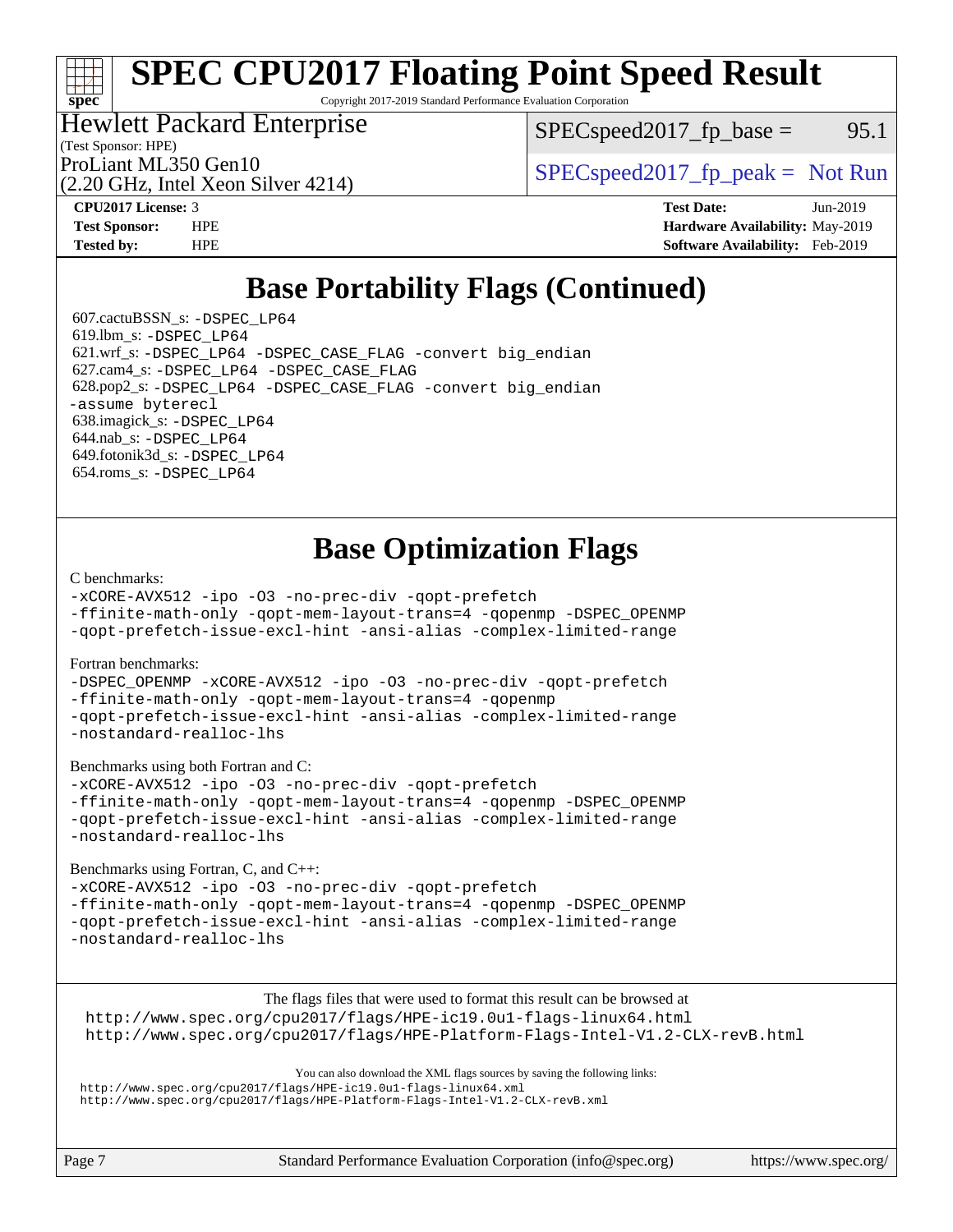Copyright 2017-2019 Standard Performance Evaluation Corporation

### Hewlett Packard Enterprise

(2.20 GHz, Intel Xeon Silver 4214)

(Test Sponsor: HPE)

 $SPEC speed2017<sub>fp</sub> base = 95.1$ 

ProLiant ML350 Gen10  $SPEC speed2017$  [p\_peak = Not Run

**[spec](http://www.spec.org/)**

**[CPU2017 License:](http://www.spec.org/auto/cpu2017/Docs/result-fields.html#CPU2017License)** 3 **[Test Date:](http://www.spec.org/auto/cpu2017/Docs/result-fields.html#TestDate)** Jun-2019 **[Test Sponsor:](http://www.spec.org/auto/cpu2017/Docs/result-fields.html#TestSponsor)** HPE **[Hardware Availability:](http://www.spec.org/auto/cpu2017/Docs/result-fields.html#HardwareAvailability)** May-2019 **[Tested by:](http://www.spec.org/auto/cpu2017/Docs/result-fields.html#Testedby)** HPE **[Software Availability:](http://www.spec.org/auto/cpu2017/Docs/result-fields.html#SoftwareAvailability)** Feb-2019

## **[Base Portability Flags \(Continued\)](http://www.spec.org/auto/cpu2017/Docs/result-fields.html#BasePortabilityFlags)**

 607.cactuBSSN\_s: [-DSPEC\\_LP64](http://www.spec.org/cpu2017/results/res2019q3/cpu2017-20190624-15531.flags.html#suite_basePORTABILITY607_cactuBSSN_s_DSPEC_LP64) 619.lbm\_s: [-DSPEC\\_LP64](http://www.spec.org/cpu2017/results/res2019q3/cpu2017-20190624-15531.flags.html#suite_basePORTABILITY619_lbm_s_DSPEC_LP64) 621.wrf\_s: [-DSPEC\\_LP64](http://www.spec.org/cpu2017/results/res2019q3/cpu2017-20190624-15531.flags.html#suite_basePORTABILITY621_wrf_s_DSPEC_LP64) [-DSPEC\\_CASE\\_FLAG](http://www.spec.org/cpu2017/results/res2019q3/cpu2017-20190624-15531.flags.html#b621.wrf_s_baseCPORTABILITY_DSPEC_CASE_FLAG) [-convert big\\_endian](http://www.spec.org/cpu2017/results/res2019q3/cpu2017-20190624-15531.flags.html#user_baseFPORTABILITY621_wrf_s_convert_big_endian_c3194028bc08c63ac5d04de18c48ce6d347e4e562e8892b8bdbdc0214820426deb8554edfa529a3fb25a586e65a3d812c835984020483e7e73212c4d31a38223) 627.cam4\_s: [-DSPEC\\_LP64](http://www.spec.org/cpu2017/results/res2019q3/cpu2017-20190624-15531.flags.html#suite_basePORTABILITY627_cam4_s_DSPEC_LP64) [-DSPEC\\_CASE\\_FLAG](http://www.spec.org/cpu2017/results/res2019q3/cpu2017-20190624-15531.flags.html#b627.cam4_s_baseCPORTABILITY_DSPEC_CASE_FLAG) 628.pop2\_s: [-DSPEC\\_LP64](http://www.spec.org/cpu2017/results/res2019q3/cpu2017-20190624-15531.flags.html#suite_basePORTABILITY628_pop2_s_DSPEC_LP64) [-DSPEC\\_CASE\\_FLAG](http://www.spec.org/cpu2017/results/res2019q3/cpu2017-20190624-15531.flags.html#b628.pop2_s_baseCPORTABILITY_DSPEC_CASE_FLAG) [-convert big\\_endian](http://www.spec.org/cpu2017/results/res2019q3/cpu2017-20190624-15531.flags.html#user_baseFPORTABILITY628_pop2_s_convert_big_endian_c3194028bc08c63ac5d04de18c48ce6d347e4e562e8892b8bdbdc0214820426deb8554edfa529a3fb25a586e65a3d812c835984020483e7e73212c4d31a38223) [-assume byterecl](http://www.spec.org/cpu2017/results/res2019q3/cpu2017-20190624-15531.flags.html#user_baseFPORTABILITY628_pop2_s_assume_byterecl_7e47d18b9513cf18525430bbf0f2177aa9bf368bc7a059c09b2c06a34b53bd3447c950d3f8d6c70e3faf3a05c8557d66a5798b567902e8849adc142926523472) 638.imagick\_s: [-DSPEC\\_LP64](http://www.spec.org/cpu2017/results/res2019q3/cpu2017-20190624-15531.flags.html#suite_basePORTABILITY638_imagick_s_DSPEC_LP64) 644.nab\_s: [-DSPEC\\_LP64](http://www.spec.org/cpu2017/results/res2019q3/cpu2017-20190624-15531.flags.html#suite_basePORTABILITY644_nab_s_DSPEC_LP64) 649.fotonik3d\_s: [-DSPEC\\_LP64](http://www.spec.org/cpu2017/results/res2019q3/cpu2017-20190624-15531.flags.html#suite_basePORTABILITY649_fotonik3d_s_DSPEC_LP64) 654.roms\_s: [-DSPEC\\_LP64](http://www.spec.org/cpu2017/results/res2019q3/cpu2017-20190624-15531.flags.html#suite_basePORTABILITY654_roms_s_DSPEC_LP64)

## **[Base Optimization Flags](http://www.spec.org/auto/cpu2017/Docs/result-fields.html#BaseOptimizationFlags)**

#### [C benchmarks](http://www.spec.org/auto/cpu2017/Docs/result-fields.html#Cbenchmarks):

[-xCORE-AVX512](http://www.spec.org/cpu2017/results/res2019q3/cpu2017-20190624-15531.flags.html#user_CCbase_f-xCORE-AVX512) [-ipo](http://www.spec.org/cpu2017/results/res2019q3/cpu2017-20190624-15531.flags.html#user_CCbase_f-ipo) [-O3](http://www.spec.org/cpu2017/results/res2019q3/cpu2017-20190624-15531.flags.html#user_CCbase_f-O3) [-no-prec-div](http://www.spec.org/cpu2017/results/res2019q3/cpu2017-20190624-15531.flags.html#user_CCbase_f-no-prec-div) [-qopt-prefetch](http://www.spec.org/cpu2017/results/res2019q3/cpu2017-20190624-15531.flags.html#user_CCbase_f-qopt-prefetch)

[-ffinite-math-only](http://www.spec.org/cpu2017/results/res2019q3/cpu2017-20190624-15531.flags.html#user_CCbase_f_finite_math_only_cb91587bd2077682c4b38af759c288ed7c732db004271a9512da14a4f8007909a5f1427ecbf1a0fb78ff2a814402c6114ac565ca162485bbcae155b5e4258871) [-qopt-mem-layout-trans=4](http://www.spec.org/cpu2017/results/res2019q3/cpu2017-20190624-15531.flags.html#user_CCbase_f-qopt-mem-layout-trans_fa39e755916c150a61361b7846f310bcdf6f04e385ef281cadf3647acec3f0ae266d1a1d22d972a7087a248fd4e6ca390a3634700869573d231a252c784941a8) [-qopenmp](http://www.spec.org/cpu2017/results/res2019q3/cpu2017-20190624-15531.flags.html#user_CCbase_qopenmp_16be0c44f24f464004c6784a7acb94aca937f053568ce72f94b139a11c7c168634a55f6653758ddd83bcf7b8463e8028bb0b48b77bcddc6b78d5d95bb1df2967) [-DSPEC\\_OPENMP](http://www.spec.org/cpu2017/results/res2019q3/cpu2017-20190624-15531.flags.html#suite_CCbase_DSPEC_OPENMP)

[-qopt-prefetch-issue-excl-hint](http://www.spec.org/cpu2017/results/res2019q3/cpu2017-20190624-15531.flags.html#user_CCbase_f-qopt-prefetch-issue-excl-hint) [-ansi-alias](http://www.spec.org/cpu2017/results/res2019q3/cpu2017-20190624-15531.flags.html#user_CCbase_f-ansi-alias) [-complex-limited-range](http://www.spec.org/cpu2017/results/res2019q3/cpu2017-20190624-15531.flags.html#user_CCbase_f-complex-limited-range)

#### [Fortran benchmarks](http://www.spec.org/auto/cpu2017/Docs/result-fields.html#Fortranbenchmarks):

[-DSPEC\\_OPENMP](http://www.spec.org/cpu2017/results/res2019q3/cpu2017-20190624-15531.flags.html#suite_FCbase_DSPEC_OPENMP) [-xCORE-AVX512](http://www.spec.org/cpu2017/results/res2019q3/cpu2017-20190624-15531.flags.html#user_FCbase_f-xCORE-AVX512) [-ipo](http://www.spec.org/cpu2017/results/res2019q3/cpu2017-20190624-15531.flags.html#user_FCbase_f-ipo) [-O3](http://www.spec.org/cpu2017/results/res2019q3/cpu2017-20190624-15531.flags.html#user_FCbase_f-O3) [-no-prec-div](http://www.spec.org/cpu2017/results/res2019q3/cpu2017-20190624-15531.flags.html#user_FCbase_f-no-prec-div) [-qopt-prefetch](http://www.spec.org/cpu2017/results/res2019q3/cpu2017-20190624-15531.flags.html#user_FCbase_f-qopt-prefetch) [-ffinite-math-only](http://www.spec.org/cpu2017/results/res2019q3/cpu2017-20190624-15531.flags.html#user_FCbase_f_finite_math_only_cb91587bd2077682c4b38af759c288ed7c732db004271a9512da14a4f8007909a5f1427ecbf1a0fb78ff2a814402c6114ac565ca162485bbcae155b5e4258871) [-qopt-mem-layout-trans=4](http://www.spec.org/cpu2017/results/res2019q3/cpu2017-20190624-15531.flags.html#user_FCbase_f-qopt-mem-layout-trans_fa39e755916c150a61361b7846f310bcdf6f04e385ef281cadf3647acec3f0ae266d1a1d22d972a7087a248fd4e6ca390a3634700869573d231a252c784941a8) [-qopenmp](http://www.spec.org/cpu2017/results/res2019q3/cpu2017-20190624-15531.flags.html#user_FCbase_qopenmp_16be0c44f24f464004c6784a7acb94aca937f053568ce72f94b139a11c7c168634a55f6653758ddd83bcf7b8463e8028bb0b48b77bcddc6b78d5d95bb1df2967) [-qopt-prefetch-issue-excl-hint](http://www.spec.org/cpu2017/results/res2019q3/cpu2017-20190624-15531.flags.html#user_FCbase_f-qopt-prefetch-issue-excl-hint) [-ansi-alias](http://www.spec.org/cpu2017/results/res2019q3/cpu2017-20190624-15531.flags.html#user_FCbase_f-ansi-alias) [-complex-limited-range](http://www.spec.org/cpu2017/results/res2019q3/cpu2017-20190624-15531.flags.html#user_FCbase_f-complex-limited-range) [-nostandard-realloc-lhs](http://www.spec.org/cpu2017/results/res2019q3/cpu2017-20190624-15531.flags.html#user_FCbase_f_2003_std_realloc_82b4557e90729c0f113870c07e44d33d6f5a304b4f63d4c15d2d0f1fab99f5daaed73bdb9275d9ae411527f28b936061aa8b9c8f2d63842963b95c9dd6426b8a)

[Benchmarks using both Fortran and C](http://www.spec.org/auto/cpu2017/Docs/result-fields.html#BenchmarksusingbothFortranandC):

[-xCORE-AVX512](http://www.spec.org/cpu2017/results/res2019q3/cpu2017-20190624-15531.flags.html#user_CC_FCbase_f-xCORE-AVX512) [-ipo](http://www.spec.org/cpu2017/results/res2019q3/cpu2017-20190624-15531.flags.html#user_CC_FCbase_f-ipo) [-O3](http://www.spec.org/cpu2017/results/res2019q3/cpu2017-20190624-15531.flags.html#user_CC_FCbase_f-O3) [-no-prec-div](http://www.spec.org/cpu2017/results/res2019q3/cpu2017-20190624-15531.flags.html#user_CC_FCbase_f-no-prec-div) [-qopt-prefetch](http://www.spec.org/cpu2017/results/res2019q3/cpu2017-20190624-15531.flags.html#user_CC_FCbase_f-qopt-prefetch) [-ffinite-math-only](http://www.spec.org/cpu2017/results/res2019q3/cpu2017-20190624-15531.flags.html#user_CC_FCbase_f_finite_math_only_cb91587bd2077682c4b38af759c288ed7c732db004271a9512da14a4f8007909a5f1427ecbf1a0fb78ff2a814402c6114ac565ca162485bbcae155b5e4258871) [-qopt-mem-layout-trans=4](http://www.spec.org/cpu2017/results/res2019q3/cpu2017-20190624-15531.flags.html#user_CC_FCbase_f-qopt-mem-layout-trans_fa39e755916c150a61361b7846f310bcdf6f04e385ef281cadf3647acec3f0ae266d1a1d22d972a7087a248fd4e6ca390a3634700869573d231a252c784941a8) [-qopenmp](http://www.spec.org/cpu2017/results/res2019q3/cpu2017-20190624-15531.flags.html#user_CC_FCbase_qopenmp_16be0c44f24f464004c6784a7acb94aca937f053568ce72f94b139a11c7c168634a55f6653758ddd83bcf7b8463e8028bb0b48b77bcddc6b78d5d95bb1df2967) [-DSPEC\\_OPENMP](http://www.spec.org/cpu2017/results/res2019q3/cpu2017-20190624-15531.flags.html#suite_CC_FCbase_DSPEC_OPENMP) [-qopt-prefetch-issue-excl-hint](http://www.spec.org/cpu2017/results/res2019q3/cpu2017-20190624-15531.flags.html#user_CC_FCbase_f-qopt-prefetch-issue-excl-hint) [-ansi-alias](http://www.spec.org/cpu2017/results/res2019q3/cpu2017-20190624-15531.flags.html#user_CC_FCbase_f-ansi-alias) [-complex-limited-range](http://www.spec.org/cpu2017/results/res2019q3/cpu2017-20190624-15531.flags.html#user_CC_FCbase_f-complex-limited-range) [-nostandard-realloc-lhs](http://www.spec.org/cpu2017/results/res2019q3/cpu2017-20190624-15531.flags.html#user_CC_FCbase_f_2003_std_realloc_82b4557e90729c0f113870c07e44d33d6f5a304b4f63d4c15d2d0f1fab99f5daaed73bdb9275d9ae411527f28b936061aa8b9c8f2d63842963b95c9dd6426b8a)

[Benchmarks using Fortran, C, and C++:](http://www.spec.org/auto/cpu2017/Docs/result-fields.html#BenchmarksusingFortranCandCXX)

[-xCORE-AVX512](http://www.spec.org/cpu2017/results/res2019q3/cpu2017-20190624-15531.flags.html#user_CC_CXX_FCbase_f-xCORE-AVX512) [-ipo](http://www.spec.org/cpu2017/results/res2019q3/cpu2017-20190624-15531.flags.html#user_CC_CXX_FCbase_f-ipo) [-O3](http://www.spec.org/cpu2017/results/res2019q3/cpu2017-20190624-15531.flags.html#user_CC_CXX_FCbase_f-O3) [-no-prec-div](http://www.spec.org/cpu2017/results/res2019q3/cpu2017-20190624-15531.flags.html#user_CC_CXX_FCbase_f-no-prec-div) [-qopt-prefetch](http://www.spec.org/cpu2017/results/res2019q3/cpu2017-20190624-15531.flags.html#user_CC_CXX_FCbase_f-qopt-prefetch) [-ffinite-math-only](http://www.spec.org/cpu2017/results/res2019q3/cpu2017-20190624-15531.flags.html#user_CC_CXX_FCbase_f_finite_math_only_cb91587bd2077682c4b38af759c288ed7c732db004271a9512da14a4f8007909a5f1427ecbf1a0fb78ff2a814402c6114ac565ca162485bbcae155b5e4258871) [-qopt-mem-layout-trans=4](http://www.spec.org/cpu2017/results/res2019q3/cpu2017-20190624-15531.flags.html#user_CC_CXX_FCbase_f-qopt-mem-layout-trans_fa39e755916c150a61361b7846f310bcdf6f04e385ef281cadf3647acec3f0ae266d1a1d22d972a7087a248fd4e6ca390a3634700869573d231a252c784941a8) [-qopenmp](http://www.spec.org/cpu2017/results/res2019q3/cpu2017-20190624-15531.flags.html#user_CC_CXX_FCbase_qopenmp_16be0c44f24f464004c6784a7acb94aca937f053568ce72f94b139a11c7c168634a55f6653758ddd83bcf7b8463e8028bb0b48b77bcddc6b78d5d95bb1df2967) [-DSPEC\\_OPENMP](http://www.spec.org/cpu2017/results/res2019q3/cpu2017-20190624-15531.flags.html#suite_CC_CXX_FCbase_DSPEC_OPENMP) [-qopt-prefetch-issue-excl-hint](http://www.spec.org/cpu2017/results/res2019q3/cpu2017-20190624-15531.flags.html#user_CC_CXX_FCbase_f-qopt-prefetch-issue-excl-hint) [-ansi-alias](http://www.spec.org/cpu2017/results/res2019q3/cpu2017-20190624-15531.flags.html#user_CC_CXX_FCbase_f-ansi-alias) [-complex-limited-range](http://www.spec.org/cpu2017/results/res2019q3/cpu2017-20190624-15531.flags.html#user_CC_CXX_FCbase_f-complex-limited-range) [-nostandard-realloc-lhs](http://www.spec.org/cpu2017/results/res2019q3/cpu2017-20190624-15531.flags.html#user_CC_CXX_FCbase_f_2003_std_realloc_82b4557e90729c0f113870c07e44d33d6f5a304b4f63d4c15d2d0f1fab99f5daaed73bdb9275d9ae411527f28b936061aa8b9c8f2d63842963b95c9dd6426b8a)

The flags files that were used to format this result can be browsed at <http://www.spec.org/cpu2017/flags/HPE-ic19.0u1-flags-linux64.html> <http://www.spec.org/cpu2017/flags/HPE-Platform-Flags-Intel-V1.2-CLX-revB.html>

You can also download the XML flags sources by saving the following links: <http://www.spec.org/cpu2017/flags/HPE-ic19.0u1-flags-linux64.xml> <http://www.spec.org/cpu2017/flags/HPE-Platform-Flags-Intel-V1.2-CLX-revB.xml>